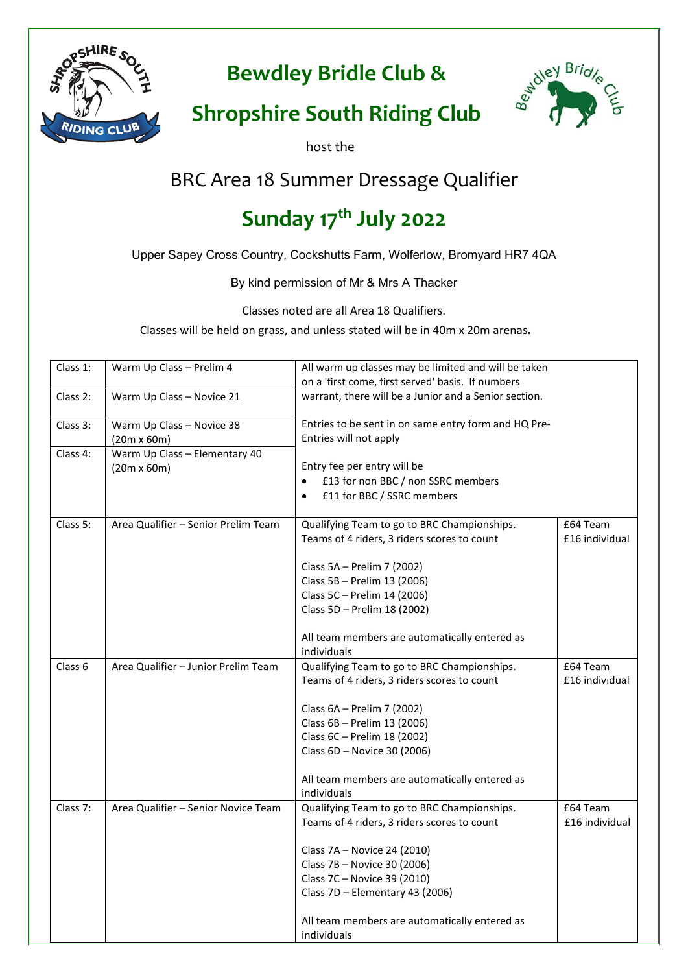

**Bewdley Bridle Club &**



## **Shropshire South Riding Club**

host the

## BRC Area 18 Summer Dressage Qualifier

# **Sunday 17th July 2022**

Upper Sapey Cross Country, Cockshutts Farm, Wolferlow, Bromyard HR7 4QA

By kind permission of Mr & Mrs A Thacker

Classes noted are all Area 18 Qualifiers.

Classes will be held on grass, and unless stated will be in 40m x 20m arenas**.**

| Class 1: | Warm Up Class - Prelim 4            | All warm up classes may be limited and will be taken<br>on a 'first come, first served' basis. If numbers |                |
|----------|-------------------------------------|-----------------------------------------------------------------------------------------------------------|----------------|
| Class 2: | Warm Up Class - Novice 21           | warrant, there will be a Junior and a Senior section.                                                     |                |
| Class 3: | Warm Up Class - Novice 38           | Entries to be sent in on same entry form and HQ Pre-                                                      |                |
|          | $(20m \times 60m)$                  | Entries will not apply                                                                                    |                |
| Class 4: | Warm Up Class - Elementary 40       |                                                                                                           |                |
|          | $(20m \times 60m)$                  | Entry fee per entry will be                                                                               |                |
|          |                                     | £13 for non BBC / non SSRC members                                                                        |                |
|          |                                     | £11 for BBC / SSRC members<br>$\bullet$                                                                   |                |
| Class 5: | Area Qualifier - Senior Prelim Team | Qualifying Team to go to BRC Championships.                                                               | £64 Team       |
|          |                                     | Teams of 4 riders, 3 riders scores to count                                                               | £16 individual |
|          |                                     | Class 5A - Prelim 7 (2002)                                                                                |                |
|          |                                     | Class 5B - Prelim 13 (2006)                                                                               |                |
|          |                                     | Class 5C - Prelim 14 (2006)                                                                               |                |
|          |                                     | Class 5D - Prelim 18 (2002)                                                                               |                |
|          |                                     | All team members are automatically entered as                                                             |                |
|          |                                     | individuals                                                                                               |                |
| Class 6  | Area Qualifier - Junior Prelim Team | Qualifying Team to go to BRC Championships.                                                               | £64 Team       |
|          |                                     | Teams of 4 riders, 3 riders scores to count                                                               | £16 individual |
|          |                                     | Class 6A - Prelim 7 (2002)                                                                                |                |
|          |                                     | Class 6B - Prelim 13 (2006)                                                                               |                |
|          |                                     | Class 6C - Prelim 18 (2002)                                                                               |                |
|          |                                     | Class 6D - Novice 30 (2006)                                                                               |                |
|          |                                     | All team members are automatically entered as                                                             |                |
|          |                                     | individuals                                                                                               |                |
| Class 7: | Area Qualifier - Senior Novice Team | Qualifying Team to go to BRC Championships.                                                               | £64 Team       |
|          |                                     | Teams of 4 riders, 3 riders scores to count                                                               | £16 individual |
|          |                                     | Class 7A - Novice 24 (2010)                                                                               |                |
|          |                                     | Class 7B - Novice 30 (2006)                                                                               |                |
|          |                                     | Class 7C - Novice 39 (2010)                                                                               |                |
|          |                                     | Class 7D - Elementary 43 (2006)                                                                           |                |
|          |                                     | All team members are automatically entered as<br>individuals                                              |                |
|          |                                     |                                                                                                           |                |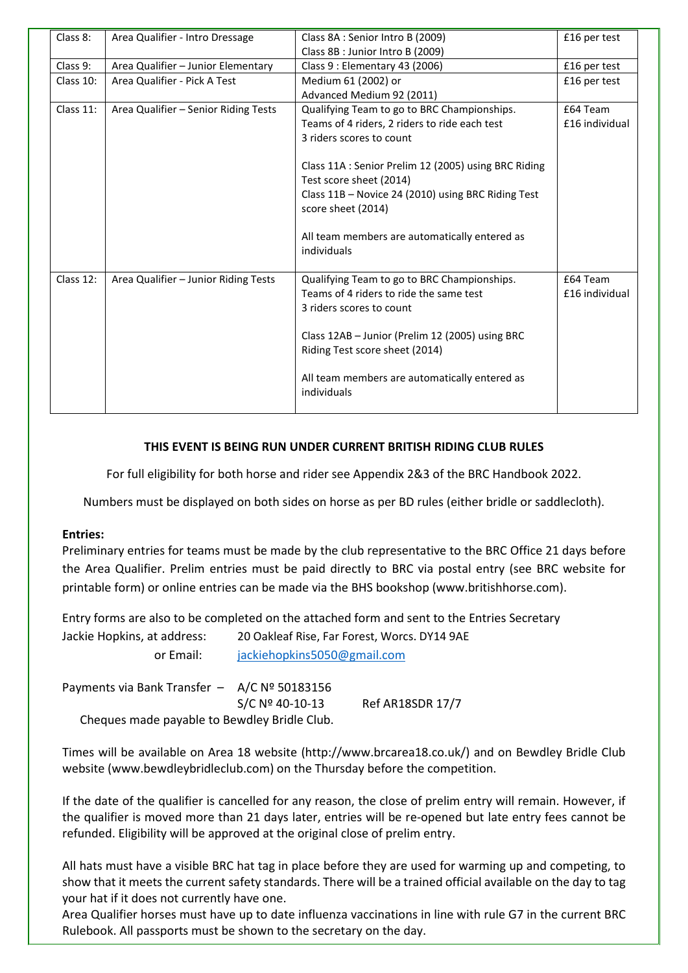| Class 8:  | Area Qualifier - Intro Dressage      | Class 8A : Senior Intro B (2009)                                                       | £16 per test               |
|-----------|--------------------------------------|----------------------------------------------------------------------------------------|----------------------------|
|           |                                      | Class 8B : Junior Intro B (2009)                                                       |                            |
| Class 9:  | Area Qualifier - Junior Elementary   | Class 9 : Elementary 43 (2006)                                                         | £16 per test               |
| Class 10: | Area Qualifier - Pick A Test         | Medium 61 (2002) or                                                                    | £16 per test               |
|           |                                      | Advanced Medium 92 (2011)                                                              |                            |
| Class 11: | Area Qualifier - Senior Riding Tests | Qualifying Team to go to BRC Championships.                                            | £64 Team                   |
|           |                                      | Teams of 4 riders, 2 riders to ride each test                                          | £16 individual             |
|           |                                      | 3 riders scores to count                                                               |                            |
|           |                                      |                                                                                        |                            |
|           |                                      | Class 11A : Senior Prelim 12 (2005) using BRC Riding                                   |                            |
|           |                                      | Test score sheet (2014)                                                                |                            |
|           |                                      | Class 11B - Novice 24 (2010) using BRC Riding Test                                     |                            |
|           |                                      | score sheet (2014)                                                                     |                            |
|           |                                      |                                                                                        |                            |
|           |                                      | All team members are automatically entered as                                          |                            |
|           |                                      | individuals                                                                            |                            |
|           |                                      |                                                                                        |                            |
| Class 12: | Area Qualifier - Junior Riding Tests | Qualifying Team to go to BRC Championships.<br>Teams of 4 riders to ride the same test | £64 Team<br>£16 individual |
|           |                                      |                                                                                        |                            |
|           |                                      | 3 riders scores to count                                                               |                            |
|           |                                      | Class 12AB - Junior (Prelim 12 (2005) using BRC                                        |                            |
|           |                                      | Riding Test score sheet (2014)                                                         |                            |
|           |                                      |                                                                                        |                            |
|           |                                      | All team members are automatically entered as                                          |                            |
|           |                                      | individuals                                                                            |                            |
|           |                                      |                                                                                        |                            |
|           |                                      |                                                                                        |                            |

#### **THIS EVENT IS BEING RUN UNDER CURRENT BRITISH RIDING CLUB RULES**

For full eligibility for both horse and rider see Appendix 2&3 of the BRC Handbook 2022.

Numbers must be displayed on both sides on horse as per BD rules (either bridle or saddlecloth).

#### **Entries:**

Preliminary entries for teams must be made by the club representative to the BRC Office 21 days before the Area Qualifier. Prelim entries must be paid directly to BRC via postal entry (see BRC website for printable form) or online entries can be made via the BHS bookshop (www.britishhorse.com).

Entry forms are also to be completed on the attached form and sent to the Entries Secretary

| Jackie Hopkins, at address:                    | 20 Oakleaf Rise, Far Forest, Worcs. DY14 9AE |                             |  |  |
|------------------------------------------------|----------------------------------------------|-----------------------------|--|--|
| or Email:                                      |                                              | jackiehopkins5050@gmail.com |  |  |
| Payments via Bank Transfer $-$ A/C Nº 50183156 | S/C Nº 40-10-13                              | <b>Ref AR18SDR 17/7</b>     |  |  |

Cheques made payable to Bewdley Bridle Club.

Times will be available on Area 18 website (http://www.brcarea18.co.uk/) and on Bewdley Bridle Club website (www.bewdleybridleclub.com) on the Thursday before the competition.

If the date of the qualifier is cancelled for any reason, the close of prelim entry will remain. However, if the qualifier is moved more than 21 days later, entries will be re-opened but late entry fees cannot be refunded. Eligibility will be approved at the original close of prelim entry.

All hats must have a visible BRC hat tag in place before they are used for warming up and competing, to show that it meets the current safety standards. There will be a trained official available on the day to tag your hat if it does not currently have one.

Area Qualifier horses must have up to date influenza vaccinations in line with rule G7 in the current BRC Rulebook. All passports must be shown to the secretary on the day.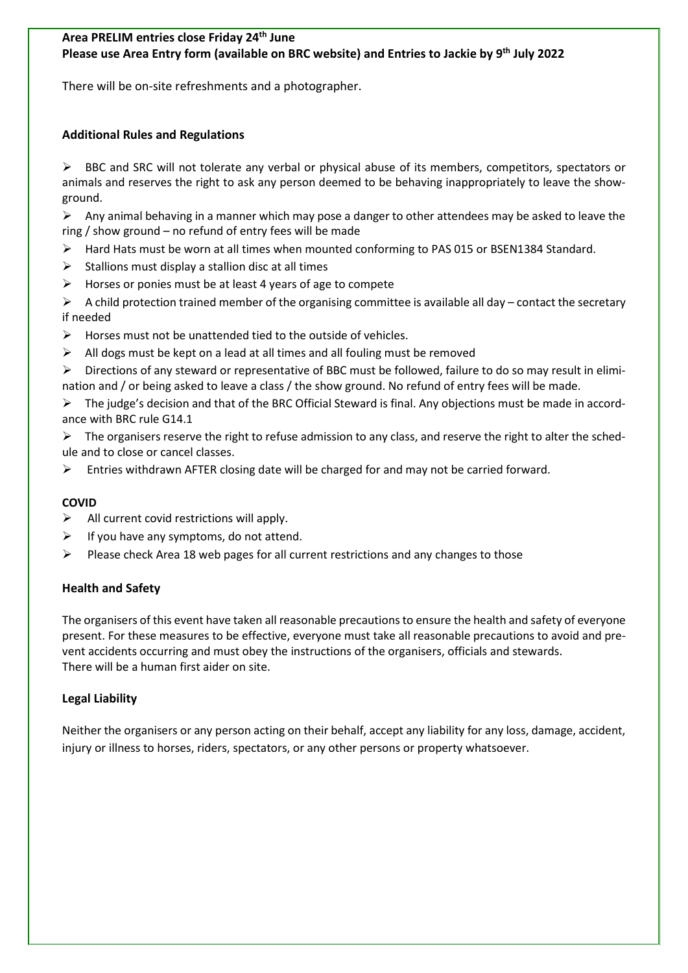#### **Area PRELIM entries close Friday 24th June Please use Area Entry form (available on BRC website) and Entries to Jackie by 9th July 2022**

There will be on-site refreshments and a photographer.

#### **Additional Rules and Regulations**

 BBC and SRC will not tolerate any verbal or physical abuse of its members, competitors, spectators or animals and reserves the right to ask any person deemed to be behaving inappropriately to leave the showground.

 $\triangleright$  Any animal behaving in a manner which may pose a danger to other attendees may be asked to leave the ring / show ground – no refund of entry fees will be made

- Hard Hats must be worn at all times when mounted conforming to PAS 015 or BSEN1384 Standard.
- $\triangleright$  Stallions must display a stallion disc at all times
- $\triangleright$  Horses or ponies must be at least 4 years of age to compete

 $\triangleright$  A child protection trained member of the organising committee is available all day – contact the secretary if needed

- $\triangleright$  Horses must not be unattended tied to the outside of vehicles.
- $\triangleright$  All dogs must be kept on a lead at all times and all fouling must be removed
- $\triangleright$  Directions of any steward or representative of BBC must be followed, failure to do so may result in elimination and / or being asked to leave a class / the show ground. No refund of entry fees will be made.

 The judge's decision and that of the BRC Official Steward is final. Any objections must be made in accordance with BRC rule G14.1

 $\triangleright$  The organisers reserve the right to refuse admission to any class, and reserve the right to alter the schedule and to close or cancel classes.

Entries withdrawn AFTER closing date will be charged for and may not be carried forward.

#### **COVID**

- $\triangleright$  All current covid restrictions will apply.
- $\triangleright$  If you have any symptoms, do not attend.
- $\triangleright$  Please check Area 18 web pages for all current restrictions and any changes to those

#### **Health and Safety**

The organisers of this event have taken all reasonable precautions to ensure the health and safety of everyone present. For these measures to be effective, everyone must take all reasonable precautions to avoid and prevent accidents occurring and must obey the instructions of the organisers, officials and stewards. There will be a human first aider on site.

#### **Legal Liability**

Neither the organisers or any person acting on their behalf, accept any liability for any loss, damage, accident, injury or illness to horses, riders, spectators, or any other persons or property whatsoever.